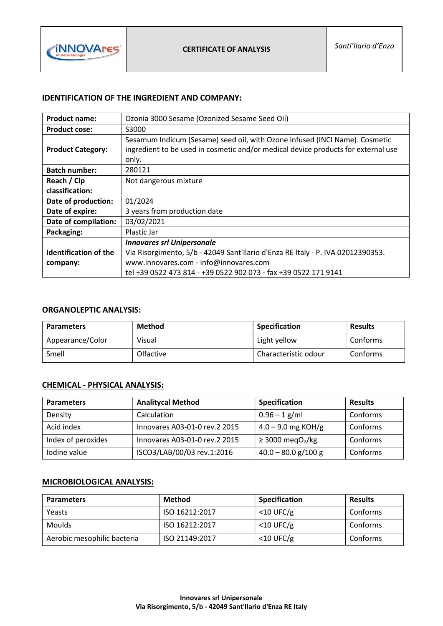

# IDENTIFICATION OF THE INGREDIENT AND COMPANY:

| <b>Product name:</b>         | Ozonia 3000 Sesame (Ozonized Sesame Seed Oil)                                                                                                                             |  |
|------------------------------|---------------------------------------------------------------------------------------------------------------------------------------------------------------------------|--|
| <b>Product cose:</b>         | S3000                                                                                                                                                                     |  |
| <b>Product Category:</b>     | Sesamum Indicum (Sesame) seed oil, with Ozone infused (INCI Name). Cosmetic<br>ingredient to be used in cosmetic and/or medical device products for external use<br>only. |  |
| <b>Batch number:</b>         | 280121                                                                                                                                                                    |  |
| Reach / Clp                  | Not dangerous mixture                                                                                                                                                     |  |
| classification:              |                                                                                                                                                                           |  |
| Date of production:          | 01/2024                                                                                                                                                                   |  |
| Date of expire:              | 3 years from production date                                                                                                                                              |  |
| Date of compilation:         | 03/02/2021                                                                                                                                                                |  |
| Packaging:                   | Plastic Jar                                                                                                                                                               |  |
|                              | <b>Innovares srl Unipersonale</b>                                                                                                                                         |  |
| <b>Identification of the</b> | Via Risorgimento, 5/b - 42049 Sant'Ilario d'Enza RE Italy - P. IVA 02012390353.                                                                                           |  |
| company:                     | www.innovares.com - info@innovares.com                                                                                                                                    |  |
|                              | tel +39 0522 473 814 - +39 0522 902 073 - fax +39 0522 171 9141                                                                                                           |  |

# ORGANOLEPTIC ANALYSIS:

| <b>Parameters</b> | Method    | <b>Specification</b> | <b>Results</b> |
|-------------------|-----------|----------------------|----------------|
| Appearance/Color  | Visual    | Light yellow         | Conforms       |
| Smell             | Olfactive | Characteristic odour | Conforms       |

## CHEMICAL - PHYSICAL ANALYSIS:

| <b>Parameters</b>  | <b>Analitycal Method</b>       | <b>Specification</b>              | <b>Results</b> |
|--------------------|--------------------------------|-----------------------------------|----------------|
| Density            | Calculation                    | $0.96 - 1$ g/ml                   | Conforms       |
| Acid index         | Innovares A03-01-0 rev.2 2015  | $4.0 - 9.0$ mg KOH/g              | Conforms       |
| Index of peroxides | Innovares A03-01-0 rev. 2 2015 | $\geq$ 3000 megO <sub>2</sub> /kg | Conforms       |
| Iodine value       | ISCO3/LAB/00/03 rev.1:2016     | $40.0 - 80.0$ g/100 g             | Conforms       |

### MICROBIOLOGICAL ANALYSIS:

| <b>Parameters</b>           | Method         | <b>Specification</b> | <b>Results</b> |
|-----------------------------|----------------|----------------------|----------------|
| Yeasts                      | ISO 16212:2017 | $<$ 10 UFC/g         | Conforms       |
| <b>Moulds</b>               | ISO 16212:2017 | $<$ 10 UFC/g         | Conforms       |
| Aerobic mesophilic bacteria | ISO 21149:2017 | $<$ 10 UFC/g         | Conforms       |